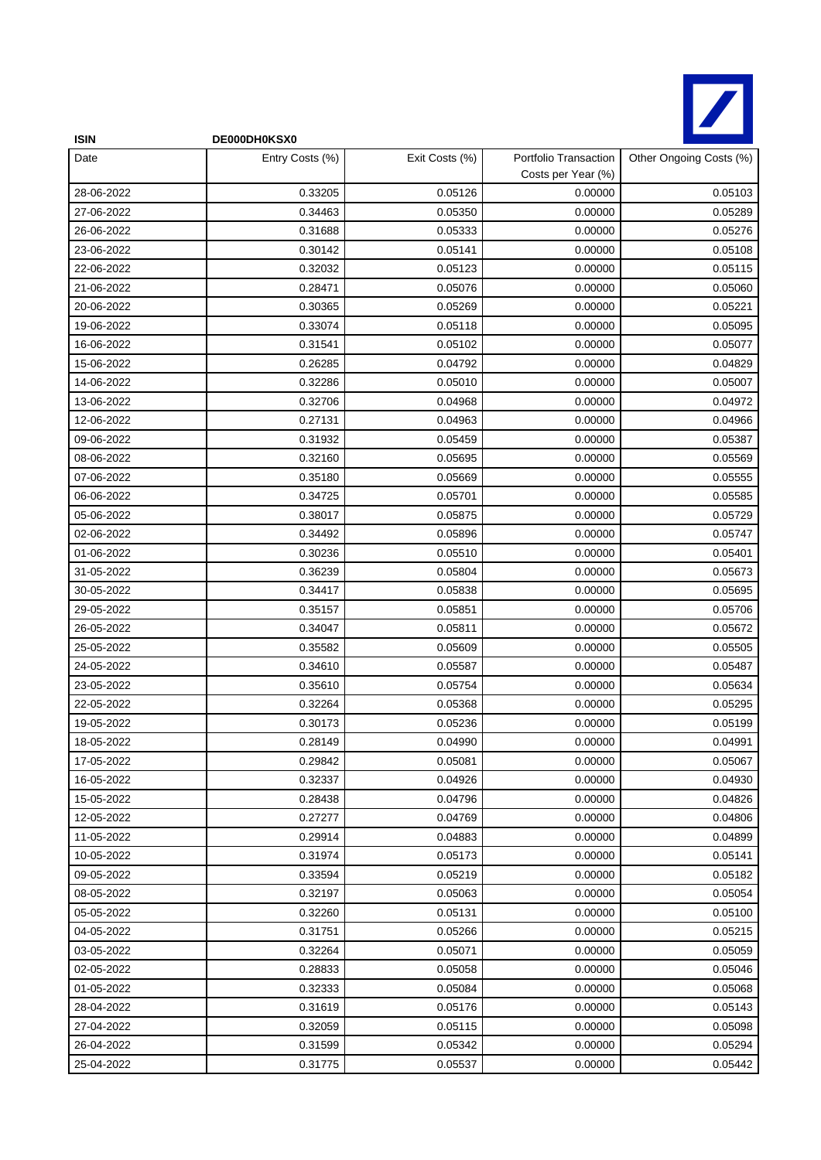

| <b>ISIN</b> | DE000DH0KSX0    |                |                                             |                         |
|-------------|-----------------|----------------|---------------------------------------------|-------------------------|
| Date        | Entry Costs (%) | Exit Costs (%) | Portfolio Transaction<br>Costs per Year (%) | Other Ongoing Costs (%) |
| 28-06-2022  | 0.33205         | 0.05126        | 0.00000                                     | 0.05103                 |
| 27-06-2022  | 0.34463         | 0.05350        | 0.00000                                     | 0.05289                 |
| 26-06-2022  | 0.31688         | 0.05333        | 0.00000                                     | 0.05276                 |
| 23-06-2022  | 0.30142         | 0.05141        | 0.00000                                     | 0.05108                 |
| 22-06-2022  | 0.32032         | 0.05123        | 0.00000                                     | 0.05115                 |
| 21-06-2022  | 0.28471         | 0.05076        | 0.00000                                     | 0.05060                 |
| 20-06-2022  | 0.30365         | 0.05269        | 0.00000                                     | 0.05221                 |
| 19-06-2022  | 0.33074         | 0.05118        | 0.00000                                     | 0.05095                 |
| 16-06-2022  | 0.31541         | 0.05102        | 0.00000                                     | 0.05077                 |
| 15-06-2022  | 0.26285         | 0.04792        | 0.00000                                     | 0.04829                 |
| 14-06-2022  | 0.32286         | 0.05010        | 0.00000                                     | 0.05007                 |
| 13-06-2022  | 0.32706         | 0.04968        | 0.00000                                     | 0.04972                 |
| 12-06-2022  | 0.27131         | 0.04963        | 0.00000                                     | 0.04966                 |
| 09-06-2022  | 0.31932         | 0.05459        | 0.00000                                     | 0.05387                 |
| 08-06-2022  | 0.32160         | 0.05695        | 0.00000                                     | 0.05569                 |
| 07-06-2022  | 0.35180         | 0.05669        | 0.00000                                     | 0.05555                 |
| 06-06-2022  | 0.34725         | 0.05701        | 0.00000                                     | 0.05585                 |
| 05-06-2022  | 0.38017         | 0.05875        | 0.00000                                     | 0.05729                 |
| 02-06-2022  | 0.34492         | 0.05896        | 0.00000                                     | 0.05747                 |
| 01-06-2022  | 0.30236         | 0.05510        | 0.00000                                     | 0.05401                 |
| 31-05-2022  | 0.36239         | 0.05804        | 0.00000                                     | 0.05673                 |
| 30-05-2022  | 0.34417         | 0.05838        | 0.00000                                     | 0.05695                 |
| 29-05-2022  | 0.35157         | 0.05851        | 0.00000                                     | 0.05706                 |
| 26-05-2022  | 0.34047         | 0.05811        | 0.00000                                     | 0.05672                 |
| 25-05-2022  | 0.35582         | 0.05609        | 0.00000                                     | 0.05505                 |
| 24-05-2022  | 0.34610         | 0.05587        | 0.00000                                     | 0.05487                 |
| 23-05-2022  | 0.35610         | 0.05754        | 0.00000                                     | 0.05634                 |
| 22-05-2022  | 0.32264         | 0.05368        | 0.00000                                     | 0.05295                 |
| 19-05-2022  | 0.30173         | 0.05236        | 0.00000                                     | 0.05199                 |
| 18-05-2022  | 0.28149         | 0.04990        | 0.00000                                     | 0.04991                 |
| 17-05-2022  | 0.29842         | 0.05081        | 0.00000                                     | 0.05067                 |
| 16-05-2022  | 0.32337         | 0.04926        | 0.00000                                     | 0.04930                 |
| 15-05-2022  | 0.28438         | 0.04796        | 0.00000                                     | 0.04826                 |
| 12-05-2022  | 0.27277         | 0.04769        | 0.00000                                     | 0.04806                 |
| 11-05-2022  | 0.29914         | 0.04883        | 0.00000                                     | 0.04899                 |
| 10-05-2022  | 0.31974         | 0.05173        | 0.00000                                     | 0.05141                 |
| 09-05-2022  | 0.33594         | 0.05219        | 0.00000                                     | 0.05182                 |
| 08-05-2022  | 0.32197         | 0.05063        | 0.00000                                     | 0.05054                 |
| 05-05-2022  | 0.32260         | 0.05131        | 0.00000                                     | 0.05100                 |
| 04-05-2022  | 0.31751         | 0.05266        | 0.00000                                     | 0.05215                 |
| 03-05-2022  | 0.32264         | 0.05071        | 0.00000                                     | 0.05059                 |
| 02-05-2022  | 0.28833         | 0.05058        | 0.00000                                     | 0.05046                 |
| 01-05-2022  | 0.32333         | 0.05084        | 0.00000                                     | 0.05068                 |
| 28-04-2022  | 0.31619         | 0.05176        | 0.00000                                     | 0.05143                 |
| 27-04-2022  | 0.32059         | 0.05115        | 0.00000                                     | 0.05098                 |
| 26-04-2022  | 0.31599         | 0.05342        | 0.00000                                     | 0.05294                 |
| 25-04-2022  | 0.31775         | 0.05537        | 0.00000                                     | 0.05442                 |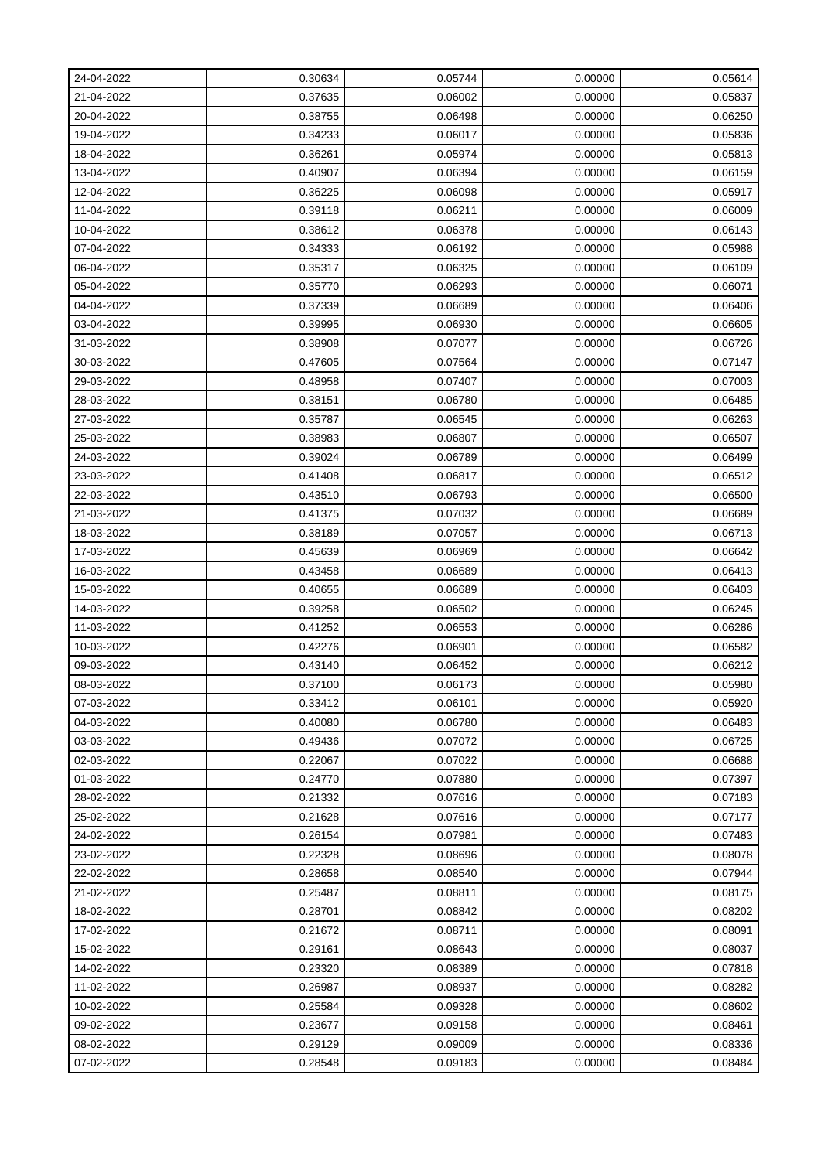| 24-04-2022 | 0.30634 | 0.05744 | 0.00000 | 0.05614 |
|------------|---------|---------|---------|---------|
| 21-04-2022 | 0.37635 | 0.06002 | 0.00000 | 0.05837 |
| 20-04-2022 | 0.38755 | 0.06498 | 0.00000 | 0.06250 |
| 19-04-2022 | 0.34233 | 0.06017 | 0.00000 | 0.05836 |
| 18-04-2022 | 0.36261 | 0.05974 | 0.00000 | 0.05813 |
| 13-04-2022 | 0.40907 | 0.06394 | 0.00000 | 0.06159 |
| 12-04-2022 | 0.36225 | 0.06098 | 0.00000 | 0.05917 |
| 11-04-2022 | 0.39118 | 0.06211 | 0.00000 | 0.06009 |
| 10-04-2022 | 0.38612 | 0.06378 | 0.00000 | 0.06143 |
| 07-04-2022 | 0.34333 | 0.06192 | 0.00000 | 0.05988 |
| 06-04-2022 | 0.35317 | 0.06325 | 0.00000 | 0.06109 |
| 05-04-2022 | 0.35770 | 0.06293 | 0.00000 | 0.06071 |
| 04-04-2022 | 0.37339 | 0.06689 | 0.00000 | 0.06406 |
| 03-04-2022 | 0.39995 | 0.06930 | 0.00000 | 0.06605 |
| 31-03-2022 | 0.38908 | 0.07077 | 0.00000 | 0.06726 |
| 30-03-2022 | 0.47605 | 0.07564 | 0.00000 | 0.07147 |
| 29-03-2022 | 0.48958 | 0.07407 | 0.00000 | 0.07003 |
| 28-03-2022 | 0.38151 | 0.06780 | 0.00000 | 0.06485 |
| 27-03-2022 | 0.35787 | 0.06545 | 0.00000 | 0.06263 |
| 25-03-2022 | 0.38983 | 0.06807 | 0.00000 | 0.06507 |
| 24-03-2022 | 0.39024 | 0.06789 | 0.00000 | 0.06499 |
| 23-03-2022 | 0.41408 | 0.06817 | 0.00000 | 0.06512 |
| 22-03-2022 | 0.43510 | 0.06793 | 0.00000 | 0.06500 |
| 21-03-2022 | 0.41375 | 0.07032 | 0.00000 | 0.06689 |
| 18-03-2022 | 0.38189 | 0.07057 | 0.00000 | 0.06713 |
| 17-03-2022 | 0.45639 | 0.06969 | 0.00000 | 0.06642 |
| 16-03-2022 | 0.43458 | 0.06689 | 0.00000 | 0.06413 |
| 15-03-2022 | 0.40655 | 0.06689 | 0.00000 | 0.06403 |
| 14-03-2022 | 0.39258 | 0.06502 | 0.00000 | 0.06245 |
| 11-03-2022 | 0.41252 | 0.06553 | 0.00000 | 0.06286 |
| 10-03-2022 | 0.42276 | 0.06901 | 0.00000 | 0.06582 |
| 09-03-2022 | 0.43140 | 0.06452 | 0.00000 | 0.06212 |
| 08-03-2022 | 0.37100 | 0.06173 | 0.00000 | 0.05980 |
| 07-03-2022 | 0.33412 | 0.06101 | 0.00000 | 0.05920 |
| 04-03-2022 | 0.40080 | 0.06780 | 0.00000 | 0.06483 |
| 03-03-2022 | 0.49436 | 0.07072 | 0.00000 | 0.06725 |
| 02-03-2022 | 0.22067 | 0.07022 | 0.00000 | 0.06688 |
| 01-03-2022 | 0.24770 | 0.07880 | 0.00000 | 0.07397 |
| 28-02-2022 | 0.21332 | 0.07616 | 0.00000 | 0.07183 |
| 25-02-2022 | 0.21628 | 0.07616 | 0.00000 | 0.07177 |
| 24-02-2022 | 0.26154 | 0.07981 | 0.00000 | 0.07483 |
| 23-02-2022 | 0.22328 | 0.08696 | 0.00000 | 0.08078 |
| 22-02-2022 | 0.28658 | 0.08540 | 0.00000 | 0.07944 |
| 21-02-2022 | 0.25487 | 0.08811 | 0.00000 | 0.08175 |
| 18-02-2022 | 0.28701 | 0.08842 | 0.00000 | 0.08202 |
| 17-02-2022 | 0.21672 | 0.08711 | 0.00000 | 0.08091 |
| 15-02-2022 | 0.29161 | 0.08643 | 0.00000 | 0.08037 |
| 14-02-2022 | 0.23320 | 0.08389 | 0.00000 | 0.07818 |
| 11-02-2022 | 0.26987 | 0.08937 | 0.00000 | 0.08282 |
| 10-02-2022 | 0.25584 | 0.09328 | 0.00000 | 0.08602 |
| 09-02-2022 | 0.23677 | 0.09158 | 0.00000 | 0.08461 |
| 08-02-2022 | 0.29129 | 0.09009 | 0.00000 | 0.08336 |
| 07-02-2022 | 0.28548 | 0.09183 | 0.00000 | 0.08484 |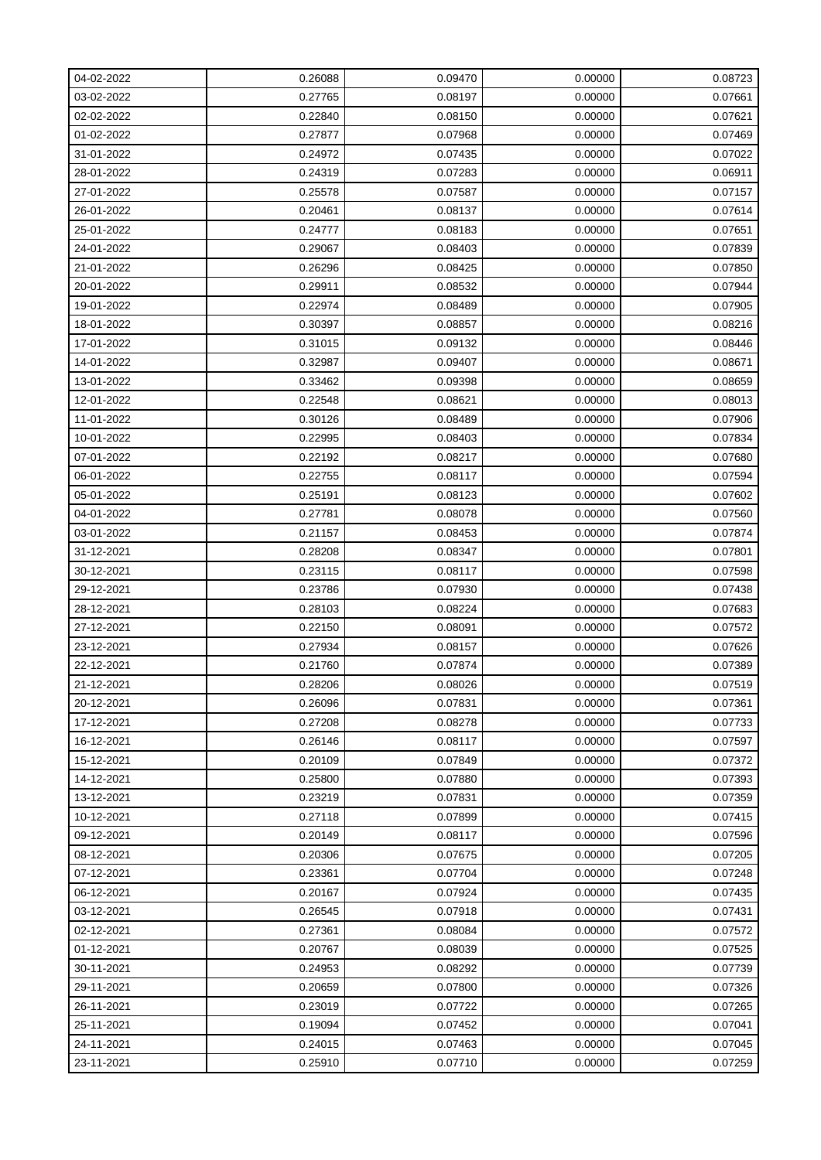| 04-02-2022 | 0.26088 | 0.09470 | 0.00000 | 0.08723 |
|------------|---------|---------|---------|---------|
| 03-02-2022 | 0.27765 | 0.08197 | 0.00000 | 0.07661 |
| 02-02-2022 | 0.22840 | 0.08150 | 0.00000 | 0.07621 |
| 01-02-2022 | 0.27877 | 0.07968 | 0.00000 | 0.07469 |
| 31-01-2022 | 0.24972 | 0.07435 | 0.00000 | 0.07022 |
| 28-01-2022 | 0.24319 | 0.07283 | 0.00000 | 0.06911 |
| 27-01-2022 | 0.25578 | 0.07587 | 0.00000 | 0.07157 |
| 26-01-2022 | 0.20461 | 0.08137 | 0.00000 | 0.07614 |
| 25-01-2022 | 0.24777 | 0.08183 | 0.00000 | 0.07651 |
| 24-01-2022 | 0.29067 | 0.08403 | 0.00000 | 0.07839 |
| 21-01-2022 | 0.26296 | 0.08425 | 0.00000 | 0.07850 |
| 20-01-2022 | 0.29911 | 0.08532 | 0.00000 | 0.07944 |
| 19-01-2022 | 0.22974 | 0.08489 | 0.00000 | 0.07905 |
| 18-01-2022 | 0.30397 | 0.08857 | 0.00000 | 0.08216 |
| 17-01-2022 | 0.31015 | 0.09132 | 0.00000 | 0.08446 |
| 14-01-2022 | 0.32987 | 0.09407 | 0.00000 | 0.08671 |
| 13-01-2022 | 0.33462 | 0.09398 | 0.00000 | 0.08659 |
| 12-01-2022 | 0.22548 | 0.08621 | 0.00000 | 0.08013 |
| 11-01-2022 | 0.30126 | 0.08489 | 0.00000 | 0.07906 |
| 10-01-2022 | 0.22995 | 0.08403 | 0.00000 | 0.07834 |
| 07-01-2022 | 0.22192 | 0.08217 | 0.00000 | 0.07680 |
| 06-01-2022 | 0.22755 | 0.08117 | 0.00000 | 0.07594 |
| 05-01-2022 | 0.25191 | 0.08123 | 0.00000 | 0.07602 |
| 04-01-2022 | 0.27781 | 0.08078 | 0.00000 | 0.07560 |
| 03-01-2022 | 0.21157 | 0.08453 | 0.00000 | 0.07874 |
| 31-12-2021 | 0.28208 | 0.08347 | 0.00000 | 0.07801 |
| 30-12-2021 | 0.23115 | 0.08117 | 0.00000 | 0.07598 |
| 29-12-2021 | 0.23786 | 0.07930 | 0.00000 | 0.07438 |
| 28-12-2021 | 0.28103 | 0.08224 | 0.00000 | 0.07683 |
| 27-12-2021 | 0.22150 | 0.08091 | 0.00000 | 0.07572 |
| 23-12-2021 | 0.27934 | 0.08157 | 0.00000 | 0.07626 |
| 22-12-2021 | 0.21760 | 0.07874 | 0.00000 | 0.07389 |
| 21-12-2021 | 0.28206 | 0.08026 | 0.00000 | 0.07519 |
| 20-12-2021 | 0.26096 | 0.07831 | 0.00000 | 0.07361 |
| 17-12-2021 | 0.27208 | 0.08278 | 0.00000 | 0.07733 |
| 16-12-2021 | 0.26146 | 0.08117 | 0.00000 | 0.07597 |
| 15-12-2021 | 0.20109 | 0.07849 | 0.00000 | 0.07372 |
| 14-12-2021 | 0.25800 | 0.07880 | 0.00000 | 0.07393 |
| 13-12-2021 | 0.23219 | 0.07831 | 0.00000 | 0.07359 |
| 10-12-2021 | 0.27118 | 0.07899 | 0.00000 | 0.07415 |
| 09-12-2021 | 0.20149 | 0.08117 | 0.00000 | 0.07596 |
| 08-12-2021 | 0.20306 | 0.07675 | 0.00000 | 0.07205 |
| 07-12-2021 | 0.23361 | 0.07704 | 0.00000 | 0.07248 |
| 06-12-2021 | 0.20167 | 0.07924 | 0.00000 | 0.07435 |
| 03-12-2021 | 0.26545 | 0.07918 | 0.00000 | 0.07431 |
| 02-12-2021 | 0.27361 | 0.08084 | 0.00000 | 0.07572 |
| 01-12-2021 | 0.20767 | 0.08039 | 0.00000 | 0.07525 |
| 30-11-2021 | 0.24953 | 0.08292 | 0.00000 | 0.07739 |
| 29-11-2021 | 0.20659 | 0.07800 | 0.00000 | 0.07326 |
| 26-11-2021 | 0.23019 | 0.07722 | 0.00000 | 0.07265 |
| 25-11-2021 | 0.19094 | 0.07452 | 0.00000 | 0.07041 |
| 24-11-2021 | 0.24015 | 0.07463 | 0.00000 | 0.07045 |
| 23-11-2021 | 0.25910 | 0.07710 | 0.00000 | 0.07259 |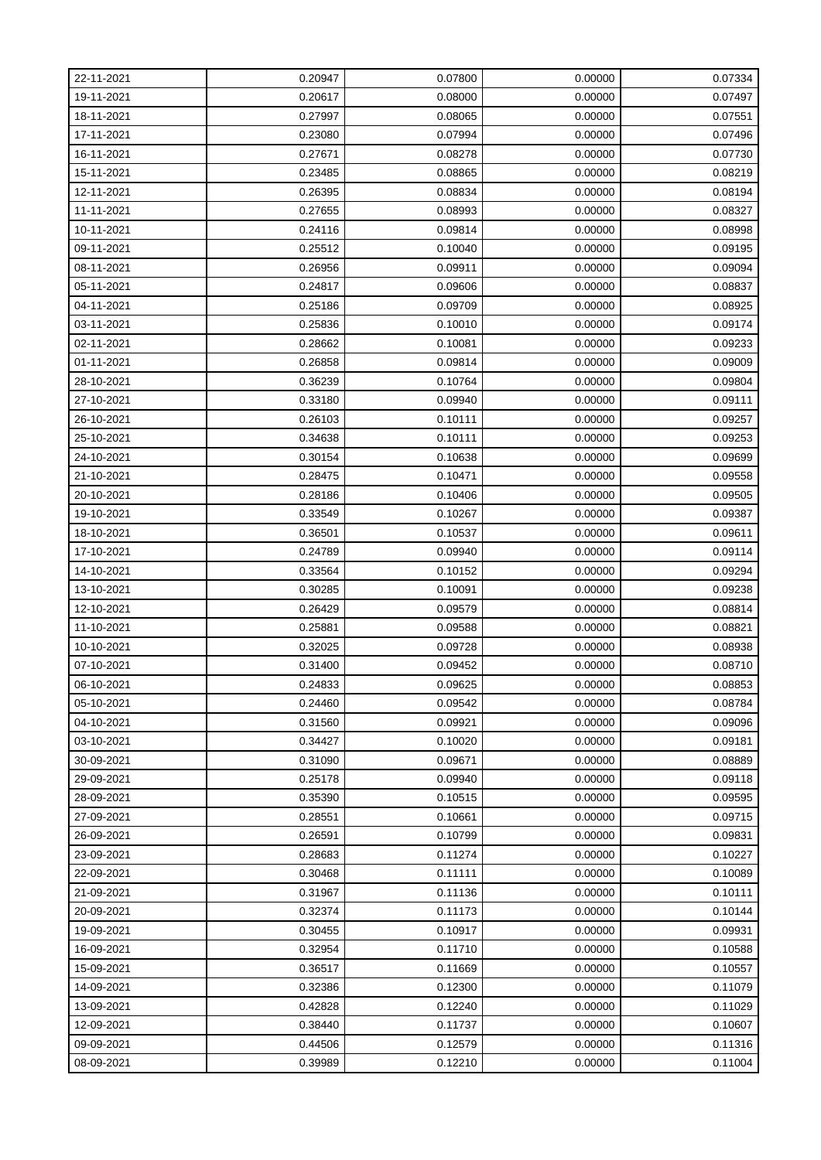| 22-11-2021 | 0.20947 | 0.07800 | 0.00000 | 0.07334 |
|------------|---------|---------|---------|---------|
| 19-11-2021 | 0.20617 | 0.08000 | 0.00000 | 0.07497 |
| 18-11-2021 | 0.27997 | 0.08065 | 0.00000 | 0.07551 |
| 17-11-2021 | 0.23080 | 0.07994 | 0.00000 | 0.07496 |
| 16-11-2021 | 0.27671 | 0.08278 | 0.00000 | 0.07730 |
| 15-11-2021 | 0.23485 | 0.08865 | 0.00000 | 0.08219 |
| 12-11-2021 | 0.26395 | 0.08834 | 0.00000 | 0.08194 |
| 11-11-2021 | 0.27655 | 0.08993 | 0.00000 | 0.08327 |
| 10-11-2021 | 0.24116 | 0.09814 | 0.00000 | 0.08998 |
| 09-11-2021 | 0.25512 | 0.10040 | 0.00000 | 0.09195 |
| 08-11-2021 | 0.26956 | 0.09911 | 0.00000 | 0.09094 |
| 05-11-2021 | 0.24817 | 0.09606 | 0.00000 | 0.08837 |
| 04-11-2021 | 0.25186 | 0.09709 | 0.00000 | 0.08925 |
| 03-11-2021 | 0.25836 | 0.10010 | 0.00000 | 0.09174 |
| 02-11-2021 | 0.28662 | 0.10081 | 0.00000 | 0.09233 |
| 01-11-2021 | 0.26858 | 0.09814 | 0.00000 | 0.09009 |
| 28-10-2021 | 0.36239 | 0.10764 | 0.00000 | 0.09804 |
| 27-10-2021 | 0.33180 | 0.09940 | 0.00000 | 0.09111 |
| 26-10-2021 | 0.26103 | 0.10111 | 0.00000 | 0.09257 |
| 25-10-2021 | 0.34638 | 0.10111 | 0.00000 | 0.09253 |
| 24-10-2021 | 0.30154 | 0.10638 | 0.00000 | 0.09699 |
| 21-10-2021 | 0.28475 | 0.10471 | 0.00000 | 0.09558 |
| 20-10-2021 | 0.28186 | 0.10406 | 0.00000 | 0.09505 |
| 19-10-2021 | 0.33549 | 0.10267 | 0.00000 | 0.09387 |
| 18-10-2021 | 0.36501 | 0.10537 | 0.00000 | 0.09611 |
| 17-10-2021 | 0.24789 | 0.09940 | 0.00000 | 0.09114 |
| 14-10-2021 | 0.33564 | 0.10152 | 0.00000 | 0.09294 |
| 13-10-2021 | 0.30285 | 0.10091 | 0.00000 | 0.09238 |
| 12-10-2021 | 0.26429 | 0.09579 | 0.00000 | 0.08814 |
| 11-10-2021 | 0.25881 | 0.09588 | 0.00000 | 0.08821 |
| 10-10-2021 | 0.32025 | 0.09728 | 0.00000 | 0.08938 |
| 07-10-2021 | 0.31400 | 0.09452 | 0.00000 | 0.08710 |
| 06-10-2021 | 0.24833 | 0.09625 | 0.00000 | 0.08853 |
| 05-10-2021 | 0.24460 | 0.09542 | 0.00000 | 0.08784 |
| 04-10-2021 | 0.31560 | 0.09921 | 0.00000 | 0.09096 |
| 03-10-2021 | 0.34427 | 0.10020 | 0.00000 | 0.09181 |
| 30-09-2021 | 0.31090 | 0.09671 | 0.00000 | 0.08889 |
| 29-09-2021 | 0.25178 | 0.09940 | 0.00000 | 0.09118 |
| 28-09-2021 | 0.35390 | 0.10515 | 0.00000 | 0.09595 |
| 27-09-2021 | 0.28551 | 0.10661 | 0.00000 | 0.09715 |
| 26-09-2021 | 0.26591 | 0.10799 | 0.00000 | 0.09831 |
| 23-09-2021 | 0.28683 | 0.11274 | 0.00000 | 0.10227 |
| 22-09-2021 | 0.30468 | 0.11111 | 0.00000 | 0.10089 |
| 21-09-2021 | 0.31967 | 0.11136 | 0.00000 | 0.10111 |
| 20-09-2021 | 0.32374 | 0.11173 | 0.00000 | 0.10144 |
| 19-09-2021 | 0.30455 | 0.10917 | 0.00000 | 0.09931 |
| 16-09-2021 | 0.32954 | 0.11710 | 0.00000 | 0.10588 |
| 15-09-2021 | 0.36517 | 0.11669 | 0.00000 | 0.10557 |
| 14-09-2021 | 0.32386 | 0.12300 | 0.00000 | 0.11079 |
| 13-09-2021 | 0.42828 | 0.12240 | 0.00000 | 0.11029 |
| 12-09-2021 | 0.38440 | 0.11737 | 0.00000 | 0.10607 |
| 09-09-2021 | 0.44506 | 0.12579 | 0.00000 | 0.11316 |
| 08-09-2021 | 0.39989 | 0.12210 | 0.00000 | 0.11004 |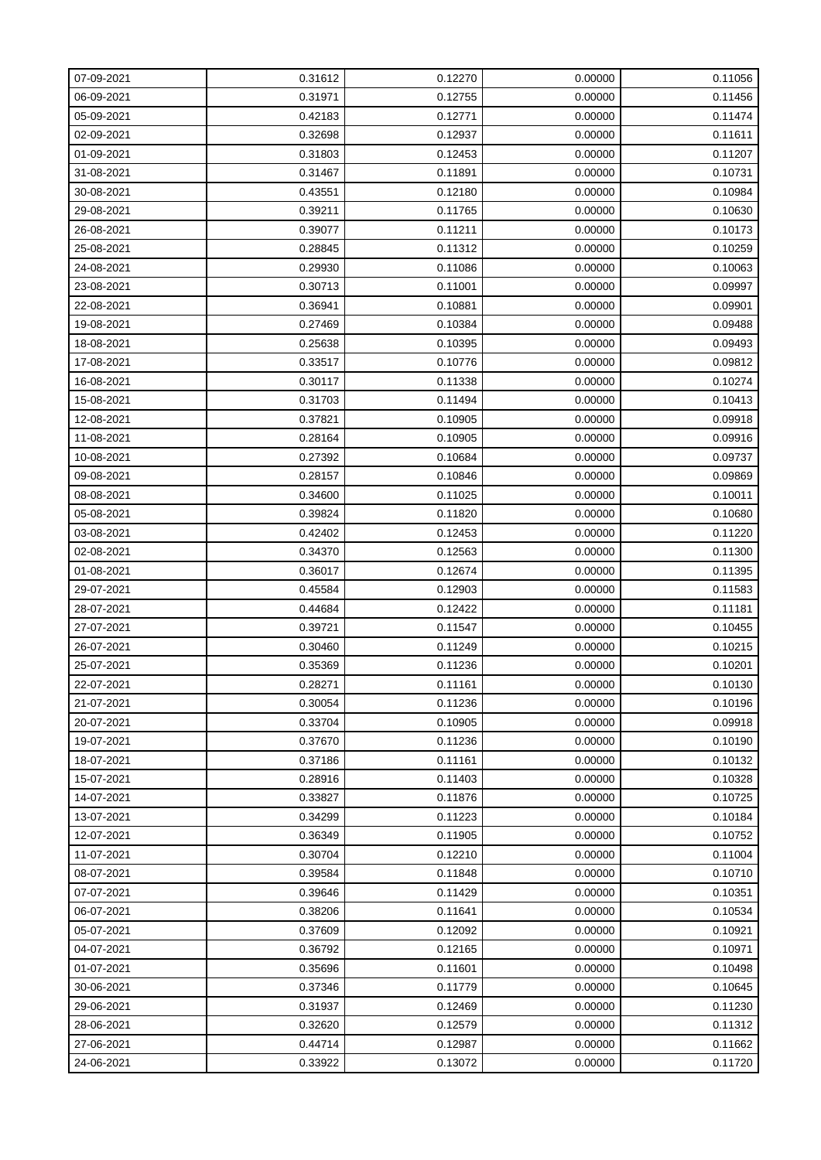| 07-09-2021 | 0.31612 | 0.12270 | 0.00000 | 0.11056 |
|------------|---------|---------|---------|---------|
| 06-09-2021 | 0.31971 | 0.12755 | 0.00000 | 0.11456 |
| 05-09-2021 | 0.42183 | 0.12771 | 0.00000 | 0.11474 |
| 02-09-2021 | 0.32698 | 0.12937 | 0.00000 | 0.11611 |
| 01-09-2021 | 0.31803 | 0.12453 | 0.00000 | 0.11207 |
| 31-08-2021 | 0.31467 | 0.11891 | 0.00000 | 0.10731 |
| 30-08-2021 | 0.43551 | 0.12180 | 0.00000 | 0.10984 |
| 29-08-2021 | 0.39211 | 0.11765 | 0.00000 | 0.10630 |
| 26-08-2021 | 0.39077 | 0.11211 | 0.00000 | 0.10173 |
| 25-08-2021 | 0.28845 | 0.11312 | 0.00000 | 0.10259 |
| 24-08-2021 | 0.29930 | 0.11086 | 0.00000 | 0.10063 |
| 23-08-2021 | 0.30713 | 0.11001 | 0.00000 | 0.09997 |
| 22-08-2021 | 0.36941 | 0.10881 | 0.00000 | 0.09901 |
| 19-08-2021 | 0.27469 | 0.10384 | 0.00000 | 0.09488 |
| 18-08-2021 | 0.25638 | 0.10395 | 0.00000 | 0.09493 |
| 17-08-2021 | 0.33517 | 0.10776 | 0.00000 | 0.09812 |
| 16-08-2021 | 0.30117 | 0.11338 | 0.00000 | 0.10274 |
| 15-08-2021 | 0.31703 | 0.11494 | 0.00000 | 0.10413 |
| 12-08-2021 | 0.37821 | 0.10905 | 0.00000 | 0.09918 |
| 11-08-2021 | 0.28164 | 0.10905 | 0.00000 | 0.09916 |
| 10-08-2021 | 0.27392 | 0.10684 | 0.00000 | 0.09737 |
| 09-08-2021 | 0.28157 | 0.10846 | 0.00000 | 0.09869 |
| 08-08-2021 | 0.34600 | 0.11025 | 0.00000 | 0.10011 |
| 05-08-2021 | 0.39824 | 0.11820 | 0.00000 | 0.10680 |
| 03-08-2021 | 0.42402 | 0.12453 | 0.00000 | 0.11220 |
| 02-08-2021 | 0.34370 | 0.12563 | 0.00000 | 0.11300 |
| 01-08-2021 | 0.36017 | 0.12674 | 0.00000 | 0.11395 |
| 29-07-2021 | 0.45584 | 0.12903 | 0.00000 | 0.11583 |
| 28-07-2021 | 0.44684 | 0.12422 | 0.00000 | 0.11181 |
| 27-07-2021 | 0.39721 | 0.11547 | 0.00000 | 0.10455 |
| 26-07-2021 | 0.30460 | 0.11249 | 0.00000 | 0.10215 |
| 25-07-2021 | 0.35369 | 0.11236 | 0.00000 | 0.10201 |
| 22-07-2021 | 0.28271 | 0.11161 | 0.00000 | 0.10130 |
| 21-07-2021 | 0.30054 | 0.11236 | 0.00000 | 0.10196 |
| 20-07-2021 | 0.33704 | 0.10905 | 0.00000 | 0.09918 |
| 19-07-2021 | 0.37670 | 0.11236 | 0.00000 | 0.10190 |
| 18-07-2021 | 0.37186 | 0.11161 | 0.00000 | 0.10132 |
| 15-07-2021 | 0.28916 | 0.11403 | 0.00000 | 0.10328 |
| 14-07-2021 | 0.33827 | 0.11876 | 0.00000 | 0.10725 |
| 13-07-2021 | 0.34299 | 0.11223 | 0.00000 | 0.10184 |
| 12-07-2021 | 0.36349 | 0.11905 | 0.00000 | 0.10752 |
| 11-07-2021 | 0.30704 | 0.12210 | 0.00000 | 0.11004 |
| 08-07-2021 | 0.39584 | 0.11848 | 0.00000 | 0.10710 |
| 07-07-2021 | 0.39646 | 0.11429 | 0.00000 | 0.10351 |
| 06-07-2021 | 0.38206 | 0.11641 | 0.00000 | 0.10534 |
| 05-07-2021 | 0.37609 | 0.12092 | 0.00000 | 0.10921 |
| 04-07-2021 | 0.36792 | 0.12165 | 0.00000 | 0.10971 |
| 01-07-2021 | 0.35696 | 0.11601 | 0.00000 | 0.10498 |
| 30-06-2021 | 0.37346 | 0.11779 | 0.00000 | 0.10645 |
| 29-06-2021 | 0.31937 | 0.12469 | 0.00000 | 0.11230 |
| 28-06-2021 | 0.32620 | 0.12579 | 0.00000 | 0.11312 |
| 27-06-2021 | 0.44714 | 0.12987 | 0.00000 | 0.11662 |
| 24-06-2021 | 0.33922 | 0.13072 | 0.00000 | 0.11720 |